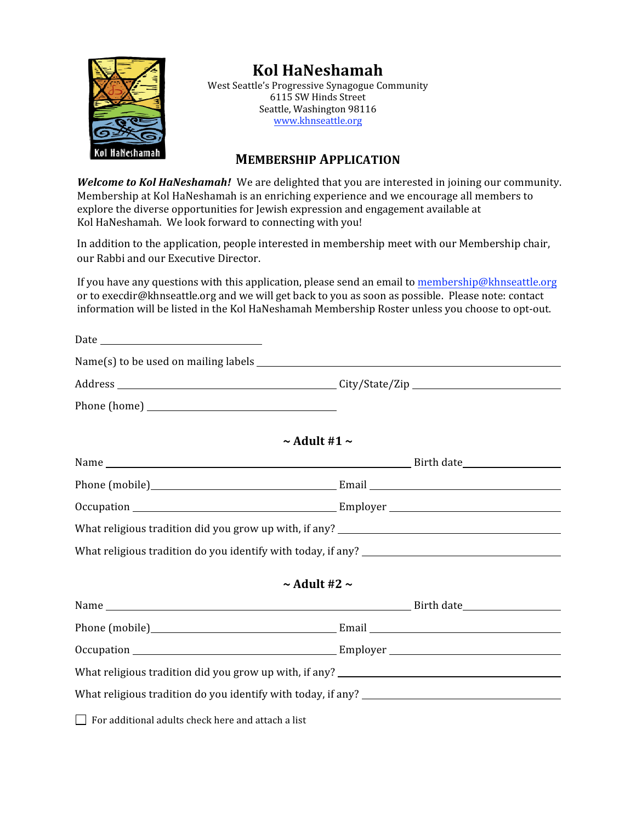

# **Kol HaNeshamah**

West Seattle's Progressive Synagogue Community 6115 SW Hinds Street Seattle, Washington 98116 www.khnseattle.org

## **MEMBERSHIP APPLICATION**

**Welcome to Kol HaNeshamah!** We are delighted that you are interested in joining our community. Membership at Kol HaNeshamah is an enriching experience and we encourage all members to explore the diverse opportunities for Jewish expression and engagement available at Kol HaNeshamah. We look forward to connecting with you!

In addition to the application, people interested in membership meet with our Membership chair, our Rabbi and our Executive Director.

If you have any questions with this application, please send an email to membership@khnseattle.org or to execdir@khnseattle.org and we will get back to you as soon as possible. Please note: contact information will be listed in the Kol HaNeshamah Membership Roster unless you choose to opt-out.

| $\sim$ Adult #1 $\sim$ |  |
|------------------------|--|
|                        |  |
|                        |  |
|                        |  |
|                        |  |
|                        |  |
| $\sim$ Adult #2 $\sim$ |  |
|                        |  |
|                        |  |
|                        |  |
|                        |  |
|                        |  |
|                        |  |

 $\Box$  For additional adults check here and attach a list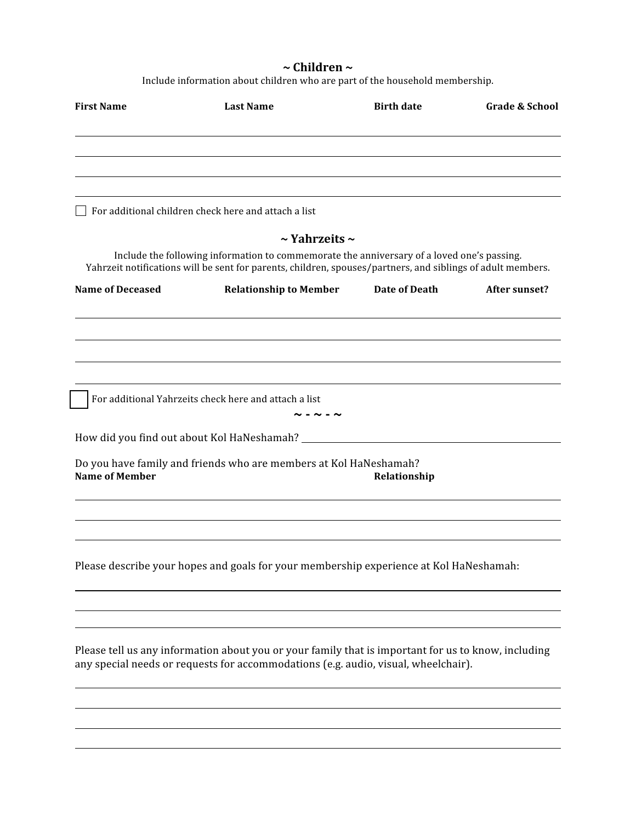## **~ Children ~**

Include information about children who are part of the household membership.

| <b>First Name</b>       | <b>Last Name</b>                                                                                                                                                                                          | <b>Birth date</b> | <b>Grade &amp; School</b> |
|-------------------------|-----------------------------------------------------------------------------------------------------------------------------------------------------------------------------------------------------------|-------------------|---------------------------|
|                         |                                                                                                                                                                                                           |                   |                           |
|                         |                                                                                                                                                                                                           |                   |                           |
|                         | For additional children check here and attach a list                                                                                                                                                      |                   |                           |
|                         | $\sim$ Yahrzeits $\sim$                                                                                                                                                                                   |                   |                           |
|                         | Include the following information to commemorate the anniversary of a loved one's passing.<br>Yahrzeit notifications will be sent for parents, children, spouses/partners, and siblings of adult members. |                   |                           |
| <b>Name of Deceased</b> | <b>Relationship to Member</b>                                                                                                                                                                             | Date of Death     | After sunset?             |
|                         |                                                                                                                                                                                                           |                   |                           |
|                         |                                                                                                                                                                                                           |                   |                           |
|                         |                                                                                                                                                                                                           |                   |                           |
|                         | For additional Yahrzeits check here and attach a list                                                                                                                                                     | $ \sim$ $ \sim$   |                           |
|                         | How did you find out about Kol HaNeshamah? ________                                                                                                                                                       |                   |                           |
|                         | Do you have family and friends who are members at Kol HaNeshamah?                                                                                                                                         |                   |                           |
| <b>Name of Member</b>   |                                                                                                                                                                                                           | Relationship      |                           |
|                         |                                                                                                                                                                                                           |                   |                           |
|                         |                                                                                                                                                                                                           |                   |                           |
|                         | Please describe your hopes and goals for your membership experience at Kol HaNeshamah:                                                                                                                    |                   |                           |
|                         |                                                                                                                                                                                                           |                   |                           |
|                         |                                                                                                                                                                                                           |                   |                           |
|                         | Please tell us any information about you or your family that is important for us to know, including<br>any special needs or requests for accommodations (e.g. audio, visual, wheelchair).                 |                   |                           |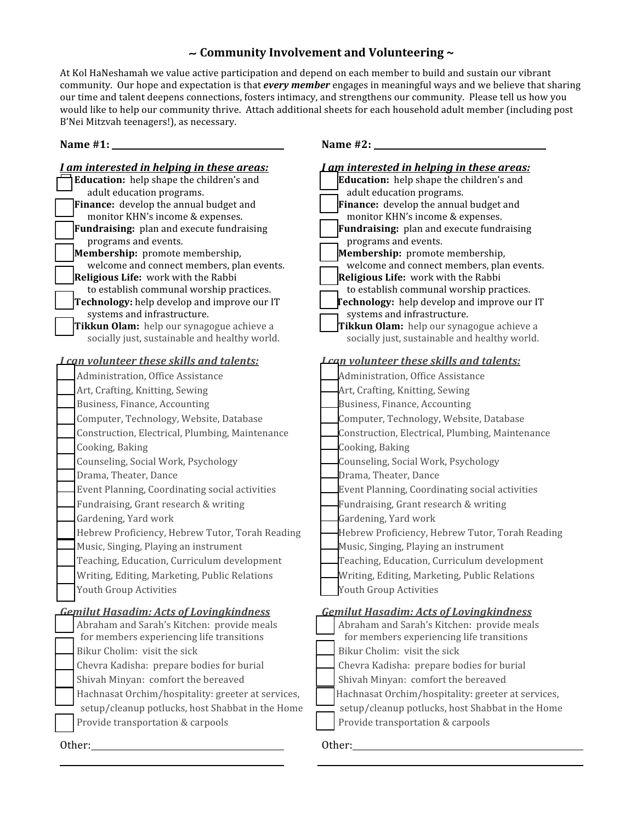### ∼ **Community Involvement and Volunteering ~**

At Kol HaNeshamah we value active participation and depend on each member to build and sustain our vibrant community. Our hope and expectation is that *every member* engages in meaningful ways and we believe that sharing our time and talent deepens connections, fosters intimacy, and strengthens our community. Please tell us how you would like to help our community thrive. Attach additional sheets for each household adult member (including post B'Nei Mitzvah teenagers!), as necessary.

### **Name #2:** *<u>Mame</u>* **#2:** *Mame Mame Mame Mame Mame Mame Mame Mame Mame Mame Mame Mame Mame Mame Mame Mame Mame Mame Mame Mame Mame Mame*

| I am interested in helping in these areas:                                   | am interested in helping in these areas:                                     |
|------------------------------------------------------------------------------|------------------------------------------------------------------------------|
| Education: help shape the children's and                                     | <b>Education:</b> help shape the children's and                              |
| adult education programs.                                                    | adult education programs.                                                    |
| Finance: develop the annual budget and                                       | Finance: develop the annual budget and                                       |
| monitor KHN's income & expenses.                                             | monitor KHN's income & expenses.                                             |
| Fundraising: plan and execute fundraising                                    | Fundraising: plan and execute fundraising                                    |
| programs and events.                                                         | programs and events.                                                         |
| Membership: promote membership,<br>welcome and connect members, plan events. | Membership: promote membership,<br>welcome and connect members, plan events. |
| Religious Life: work with the Rabbi                                          | Religious Life: work with the Rabbi                                          |
| to establish communal worship practices.                                     | to establish communal worship practices.                                     |
| Technology: help develop and improve our IT                                  | Technology: help develop and improve our IT                                  |
| systems and infrastructure.                                                  | systems and infrastructure.                                                  |
| Tikkun Olam: help our synagogue achieve a                                    | Tikkun Olam: help our synagogue achieve a                                    |
| socially just, sustainable and healthy world.                                | socially just, sustainable and healthy world.                                |
| <b>Lcan volunteer these skills and talents:</b>                              | <b>Lcan volunteer these skills and talents:</b>                              |
| Administration, Office Assistance                                            | Administration, Office Assistance                                            |
| Art, Crafting, Knitting, Sewing                                              | Art, Crafting, Knitting, Sewing                                              |
| Business, Finance, Accounting                                                | Business, Finance, Accounting                                                |
| Computer, Technology, Website, Database                                      | Computer, Technology, Website, Database                                      |
| Construction, Electrical, Plumbing, Maintenance                              | Construction, Electrical, Plumbing, Maintenance                              |
| Cooking, Baking                                                              | Cooking, Baking                                                              |
|                                                                              |                                                                              |
| Counseling, Social Work, Psychology                                          | Counseling, Social Work, Psychology                                          |
| Drama, Theater, Dance                                                        | Drama, Theater, Dance                                                        |
| Event Planning, Coordinating social activities                               | Event Planning, Coordinating social activities                               |
| Fundraising, Grant research & writing                                        | Fundraising, Grant research & writing                                        |
| Gardening, Yard work                                                         | Gardening, Yard work                                                         |
| Hebrew Proficiency, Hebrew Tutor, Torah Reading                              | Hebrew Proficiency, Hebrew Tutor, Torah Reading                              |
| Music, Singing, Playing an instrument                                        | Music, Singing, Playing an instrument                                        |
| Teaching, Education, Curriculum development                                  | Teaching, Education, Curriculum development                                  |
| Writing, Editing, Marketing, Public Relations                                | Writing, Editing, Marketing, Public Relations                                |
| Youth Group Activities                                                       | Youth Group Activities                                                       |
| <b>Gemilut Hasadim: Acts of Lovingkindness</b>                               | <b>Gemilut Hasadim: Acts of Lovingkindness</b>                               |
| Abraham and Sarah's Kitchen: provide meals                                   | Abraham and Sarah's Kitchen: provide meals                                   |
| for members experiencing life transitions                                    | for members experiencing life transitions                                    |
| Bikur Cholim: visit the sick                                                 | Bikur Cholim: visit the sick                                                 |
| Chevra Kadisha: prepare bodies for burial                                    | Chevra Kadisha: prepare bodies for burial                                    |
| Shivah Minyan: comfort the bereaved                                          | Shivah Minyan: comfort the bereaved                                          |
| Hachnasat Orchim/hospitality: greeter at services,                           | Hachnasat Orchim/hospitality: greeter at services,                           |
| setup/cleanup potlucks, host Shabbat in the Home                             | setup/cleanup potlucks, host Shabbat in the Home                             |
| Provide transportation & carpools                                            | Provide transportation & carpools                                            |
|                                                                              |                                                                              |
| Other:                                                                       | Other:                                                                       |